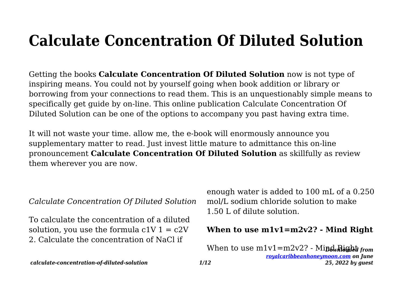# **Calculate Concentration Of Diluted Solution**

Getting the books **Calculate Concentration Of Diluted Solution** now is not type of inspiring means. You could not by yourself going when book addition or library or borrowing from your connections to read them. This is an unquestionably simple means to specifically get guide by on-line. This online publication Calculate Concentration Of Diluted Solution can be one of the options to accompany you past having extra time.

It will not waste your time. allow me, the e-book will enormously announce you supplementary matter to read. Just invest little mature to admittance this on-line pronouncement **Calculate Concentration Of Diluted Solution** as skillfully as review them wherever you are now.

*Calculate Concentration Of Diluted Solution*

To calculate the concentration of a diluted solution, you use the formula  $c1V$  1 =  $c2V$ 2. Calculate the concentration of NaCl if

enough water is added to 100 mL of a 0.250 mol/L sodium chloride solution to make 1.50 L of dilute solution.

#### **When to use m1v1=m2v2? - Mind Right**

When to use m1v1=m2v2? - Mi**nd Right** from *[royalcaribbeanhoneymoon.com](http://royalcaribbeanhoneymoon.com) on June 25, 2022 by guest*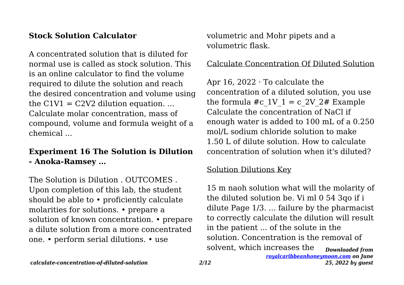## **Stock Solution Calculator**

A concentrated solution that is diluted for normal use is called as stock solution. This is an online calculator to find the volume required to dilute the solution and reach the desired concentration and volume using the  $C1V1 = C2V2$  dilution equation. ... Calculate molar concentration, mass of compound, volume and formula weight of a chemical ...

## **Experiment 16 The Solution is Dilution - Anoka-Ramsey …**

The Solution is Dilution . OUTCOMES Upon completion of this lab, the student should be able to • proficiently calculate molarities for solutions. • prepare a solution of known concentration. • prepare a dilute solution from a more concentrated one. • perform serial dilutions. • use

volumetric and Mohr pipets and a volumetric flask.

#### Calculate Concentration Of Diluted Solution

Apr 16, 2022 · To calculate the concentration of a diluted solution, you use the formula #c\_1V\_1 = c\_2V\_2# Example Calculate the concentration of NaCl if enough water is added to 100 mL of a 0.250 mol/L sodium chloride solution to make 1.50 L of dilute solution. How to calculate concentration of solution when it's diluted?

#### Solution Dilutions Key

*Downloaded from* 15 m naoh solution what will the molarity of the diluted solution be. Vi ml 0 54 3qo if i dilute Page 1/3. ... failure by the pharmacist to correctly calculate the dilution will result in the patient ... of the solute in the solution. Concentration is the removal of solvent, which increases the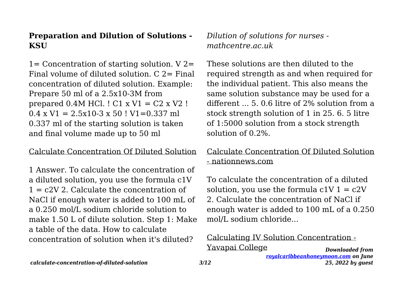## **Preparation and Dilution of Solutions - KSU**

 $1=$  Concentration of starting solution. V 2= Final volume of diluted solution.  $C = 2$ = Final concentration of diluted solution. Example: Prepare 50 ml of a 2.5x10-3M from prepared  $0.4M$  HCl.  $!$  C1 x V1 = C2 x V2  $!$  $0.4 \times V1 = 2.5 \times 10^{-3} \times 50$  ! V1=0.337 ml 0.337 ml of the starting solution is taken and final volume made up to 50 ml

#### Calculate Concentration Of Diluted Solution

1 Answer. To calculate the concentration of a diluted solution, you use the formula c1V  $1 = c2V$  2. Calculate the concentration of NaCl if enough water is added to 100 mL of a 0.250 mol/L sodium chloride solution to make 1.50 L of dilute solution. Step 1: Make a table of the data. How to calculate concentration of solution when it's diluted?

*Dilution of solutions for nurses mathcentre.ac.uk*

These solutions are then diluted to the required strength as and when required for the individual patient. This also means the same solution substance may be used for a different ... 5. 0.6 litre of 2% solution from a stock strength solution of 1 in 25. 6. 5 litre of 1:5000 solution from a stock strength solution of 0.2%.

## Calculate Concentration Of Diluted Solution - nationnews.com

To calculate the concentration of a diluted solution, you use the formula  $c1V$  1 =  $c2V$ 2. Calculate the concentration of NaCl if enough water is added to 100 mL of a 0.250 mol/L sodium chloride...

#### *Downloaded from* Calculating IV Solution Concentration - Yavapai College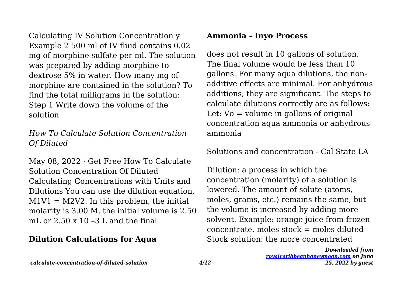Calculating IV Solution Concentration y Example 2 500 ml of IV fluid contains 0.02 mg of morphine sulfate per ml. The solution was prepared by adding morphine to dextrose 5% in water. How many mg of morphine are contained in the solution? To find the total milligrams in the solution: Step 1 Write down the volume of the solution

## *How To Calculate Solution Concentration Of Diluted*

May 08, 2022 · Get Free How To Calculate Solution Concentration Of Diluted Calculating Concentrations with Units and Dilutions You can use the dilution equation,  $M1V1 = M2V2$ . In this problem, the initial molarity is 3.00 M, the initial volume is 2.50 mL or  $2.50 \times 10 - 3$  L and the final

## **Dilution Calculations for Aqua**

## **Ammonia - Inyo Process**

does not result in 10 gallons of solution. The final volume would be less than 10 gallons. For many aqua dilutions, the nonadditive effects are minimal. For anhydrous additions, they are significant. The steps to calculate dilutions correctly are as follows: Let:  $Vo = volume$  in gallons of original concentration aqua ammonia or anhydrous ammonia

## Solutions and concentration - Cal State LA

Dilution: a process in which the concentration (molarity) of a solution is lowered. The amount of solute (atoms, moles, grams, etc.) remains the same, but the volume is increased by adding more solvent. Example: orange juice from frozen  $concentrate$ . moles  $stock = moles$  diluted Stock solution: the more concentrated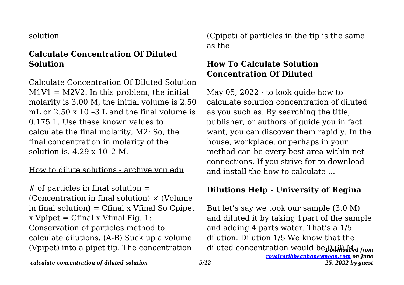#### solution

## **Calculate Concentration Of Diluted Solution**

Calculate Concentration Of Diluted Solution  $M1V1 = M2V2$ . In this problem, the initial molarity is 3.00 M, the initial volume is 2.50 mL or 2.50 x 10 –3 L and the final volume is 0.175 L. Use these known values to calculate the final molarity, M2: So, the final concentration in molarity of the solution is.  $4.29 \times 10^{-2}$  M.

## How to dilute solutions - archive.vcu.edu

 $#$  of particles in final solution  $=$ (Concentration in final solution)  $\times$  (Volume in final solution) = Cfinal x Vfinal So Cpipet  $x$  Vpipet = Cfinal  $x$  Vfinal Fig. 1: Conservation of particles method to calculate dilutions. (A-B) Suck up a volume (Vpipet) into a pipet tip. The concentration

(Cpipet) of particles in the tip is the same as the

## **How To Calculate Solution Concentration Of Diluted**

May 05, 2022 $\cdot$  to look quide how to calculate solution concentration of diluted as you such as. By searching the title, publisher, or authors of guide you in fact want, you can discover them rapidly. In the house, workplace, or perhaps in your method can be every best area within net connections. If you strive for to download and install the how to calculate ...

## **Dilutions Help - University of Regina**

diluted concentration would be **O.60 Med from** But let's say we took our sample (3.0 M) and diluted it by taking 1part of the sample and adding 4 parts water. That's a 1/5 dilution. Dilution 1/5 We know that the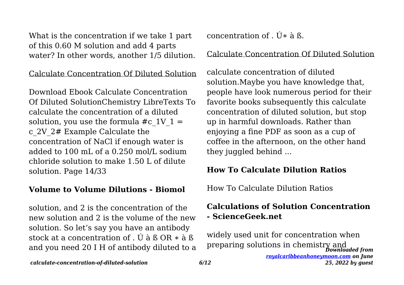What is the concentration if we take 1 part of this 0.60 M solution and add 4 parts water? In other words, another 1/5 dilution.

Calculate Concentration Of Diluted Solution

Download Ebook Calculate Concentration Of Diluted SolutionChemistry LibreTexts To calculate the concentration of a diluted solution, you use the formula #c\_1V\_1 = c\_2V\_2# Example Calculate the concentration of NaCl if enough water is added to 100 mL of a 0.250 mol/L sodium chloride solution to make 1.50 L of dilute solution. Page 14/33

## **Volume to Volume Dilutions - Biomol**

solution, and 2 is the concentration of the new solution and 2 is the volume of the new solution. So let's say you have an antibody stock at a concentration of . Ú à ß OR ∗ à ß and you need 20 I H of antibody diluted to a concentration of  $\tilde{U}$ \* à  $\tilde{B}$ .

#### Calculate Concentration Of Diluted Solution

calculate concentration of diluted solution.Maybe you have knowledge that, people have look numerous period for their favorite books subsequently this calculate concentration of diluted solution, but stop up in harmful downloads. Rather than enjoying a fine PDF as soon as a cup of coffee in the afternoon, on the other hand they juggled behind ...

#### **How To Calculate Dilution Ratios**

How To Calculate Dilution Ratios

## **Calculations of Solution Concentration - ScienceGeek.net**

*Downloaded from [royalcaribbeanhoneymoon.com](http://royalcaribbeanhoneymoon.com) on June 25, 2022 by guest* widely used unit for concentration when preparing solutions in chemistry and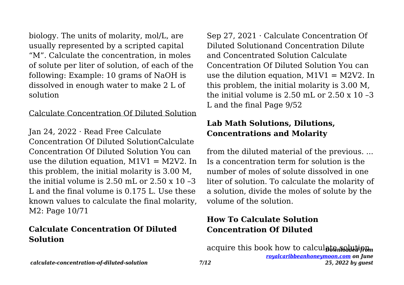biology. The units of molarity, mol/L, are usually represented by a scripted capital "M". Calculate the concentration, in moles of solute per liter of solution, of each of the following: Example: 10 grams of NaOH is dissolved in enough water to make 2 L of solution

#### Calculate Concentration Of Diluted Solution

Jan 24, 2022 · Read Free Calculate Concentration Of Diluted SolutionCalculate Concentration Of Diluted Solution You can use the dilution equation,  $M1V1 = M2V2$ . In this problem, the initial molarity is 3.00 M, the initial volume is  $2.50$  mL or  $2.50 \times 10$  -3 L and the final volume is 0.175 L. Use these known values to calculate the final molarity, M2: Page 10/71

## **Calculate Concentration Of Diluted Solution**

Sep 27, 2021 · Calculate Concentration Of Diluted Solutionand Concentration Dilute and Concentrated Solution Calculate Concentration Of Diluted Solution You can use the dilution equation,  $M1V1 = M2V2$ . In this problem, the initial molarity is 3.00 M, the initial volume is  $2.50$  mL or  $2.50 \times 10^{-3}$ L and the final Page 9/52

## **Lab Math Solutions, Dilutions, Concentrations and Molarity**

from the diluted material of the previous. ... Is a concentration term for solution is the number of moles of solute dissolved in one liter of solution. To calculate the molarity of a solution, divide the moles of solute by the volume of the solution.

## **How To Calculate Solution Concentration Of Diluted**

acquire this book how to calcul**ate solution**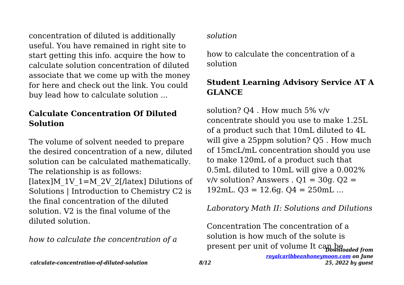concentration of diluted is additionally useful. You have remained in right site to start getting this info. acquire the how to calculate solution concentration of diluted associate that we come up with the money for here and check out the link. You could buy lead how to calculate solution ...

## **Calculate Concentration Of Diluted Solution**

The volume of solvent needed to prepare the desired concentration of a new, diluted solution can be calculated mathematically. The relationship is as follows: [ $\left| \frac{\text{latex}}{\text{M}} \right|$  1V  $1=M$  2V 2[ $\left| \frac{\text{latex}}{\text{latex}} \right|$  Dilutions of Solutions | Introduction to Chemistry C2 is the final concentration of the diluted solution. V2 is the final volume of the diluted solution.

*how to calculate the concentration of a*

## *solution*

how to calculate the concentration of a solution

## **Student Learning Advisory Service AT A GLANCE**

solution? Q4 . How much 5% v/v concentrate should you use to make 1.25L of a product such that 10mL diluted to 4L will give a 25ppm solution? Q5. How much of 15mcL/mL concentration should you use to make 120mL of a product such that 0.5mL diluted to 10mL will give a 0.002%  $v/v$  solution? Answers .  $Q1 = 30q$ .  $Q2 =$ 192mL,  $Q3 = 12.6q$ ,  $Q4 = 250mL$  ...

*Laboratory Math II: Solutions and Dilutions*

*Downloaded from* present per unit of volume It can beConcentration The concentration of a solution is how much of the solute is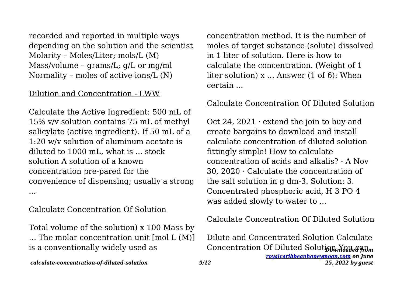recorded and reported in multiple ways depending on the solution and the scientist Molarity – Moles/Liter; mols/L (M) Mass/volume – grams/L; g/L or mg/ml Normality – moles of active ions/L (N)

#### Dilution and Concentration - LWW

Calculate the Active Ingredient: 500 mL of 15% v/v solution contains 75 mL of methyl salicylate (active ingredient). If 50 mL of a 1:20 w/v solution of aluminum acetate is diluted to 1000 mL, what is ... stock solution A solution of a known concentration pre-pared for the convenience of dispensing; usually a strong ...

#### Calculate Concentration Of Solution

Total volume of the solution) x 100 Mass by … The molar concentration unit [mol L (M)] is a conventionally widely used as

concentration method. It is the number of moles of target substance (solute) dissolved in 1 liter of solution. Here is how to calculate the concentration. (Weight of 1 liter solution) x … Answer (1 of 6): When certain ...

#### Calculate Concentration Of Diluted Solution

Oct 24, 2021  $\cdot$  extend the join to buy and create bargains to download and install calculate concentration of diluted solution fittingly simple! How to calculate concentration of acids and alkalis? - A Nov 30, 2020 · Calculate the concentration of the salt solution in g dm-3. Solution: 3. Concentrated phosphoric acid, H 3 PO 4 was added slowly to water to ...

#### Calculate Concentration Of Diluted Solution

Concentration Of Diluted Solutio<del>n You agon</del> Dilute and Concentrated Solution Calculate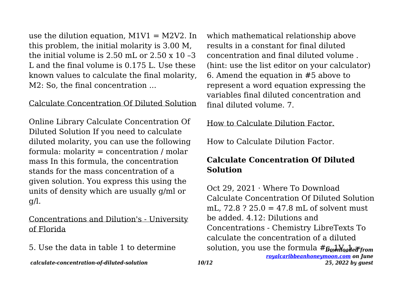use the dilution equation,  $M1V1 = M2V2$ . In this problem, the initial molarity is 3.00 M, the initial volume is  $2.50$  mL or  $2.50 \times 10^{-3}$ L and the final volume is 0.175 L. Use these known values to calculate the final molarity, M2: So, the final concentration ...

#### Calculate Concentration Of Diluted Solution

Online Library Calculate Concentration Of Diluted Solution If you need to calculate diluted molarity, you can use the following formula: molarity = concentration / molar mass In this formula, the concentration stands for the mass concentration of a given solution. You express this using the units of density which are usually g/ml or g/l.

Concentrations and Dilution's - University of Florida

5. Use the data in table 1 to determine

which mathematical relationship above results in a constant for final diluted concentration and final diluted volume . (hint: use the list editor on your calculator) 6. Amend the equation in #5 above to represent a word equation expressing the variables final diluted concentration and final diluted volume. 7.

How to Calculate Dilution Factor.

How to Calculate Dilution Factor.

## **Calculate Concentration Of Diluted Solution**

solution, you use the formula  $\#g_{\omega}$ Moded from *[royalcaribbeanhoneymoon.com](http://royalcaribbeanhoneymoon.com) on June* Oct 29, 2021 · Where To Download Calculate Concentration Of Diluted Solution mL, 72.8 ? 25.0 = 47.8 mL of solvent must be added. 4.12: Dilutions and Concentrations - Chemistry LibreTexts To calculate the concentration of a diluted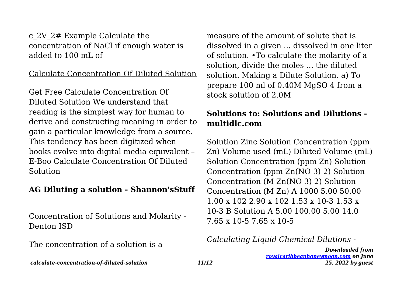c\_2V\_2# Example Calculate the concentration of NaCl if enough water is added to 100 mL of

#### Calculate Concentration Of Diluted Solution

Get Free Calculate Concentration Of Diluted Solution We understand that reading is the simplest way for human to derive and constructing meaning in order to gain a particular knowledge from a source. This tendency has been digitized when books evolve into digital media equivalent – E-Boo Calculate Concentration Of Diluted Solution

#### **AG Diluting a solution - Shannon'sStuff**

Concentration of Solutions and Molarity - Denton ISD

The concentration of a solution is a

measure of the amount of solute that is dissolved in a given ... dissolved in one liter of solution. •To calculate the molarity of a solution, divide the moles ... the diluted solution. Making a Dilute Solution. a) To prepare 100 ml of 0.40M MgSO 4 from a stock solution of 2.0M

## **Solutions to: Solutions and Dilutions multidlc.com**

Solution Zinc Solution Concentration (ppm Zn) Volume used (mL) Diluted Volume (mL) Solution Concentration (ppm Zn) Solution Concentration (ppm Zn(NO 3) 2) Solution Concentration (M Zn(NO 3) 2) Solution Concentration (M Zn) A 1000 5.00 50.00 1.00 x 102 2.90 x 102 1.53 x 10-3 1.53 x 10-3 B Solution A 5.00 100.00 5.00 14.0 7.65 x 10-5 7.65 x 10-5

## *Calculating Liquid Chemical Dilutions -*

*Downloaded from [royalcaribbeanhoneymoon.com](http://royalcaribbeanhoneymoon.com) on June 25, 2022 by guest*